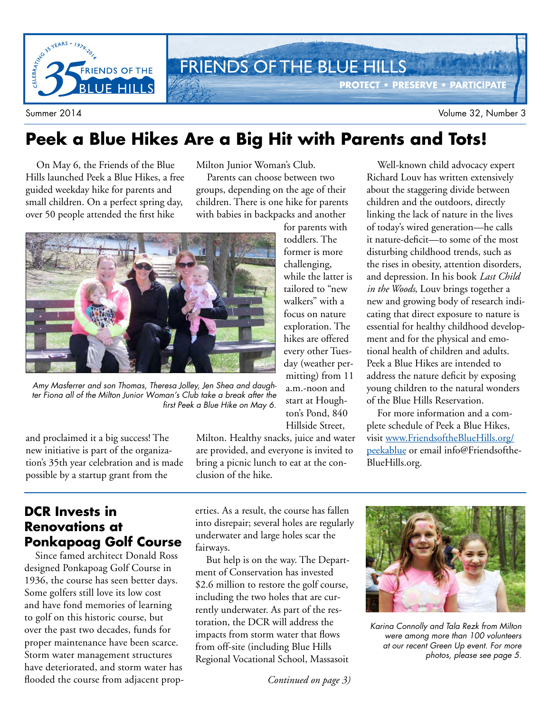

### **Peek a Blue Hikes Are a Big Hit with Parents and Tots!**

On May 6, the Friends of the Blue Hills launched Peek a Blue Hikes, a free guided weekday hike for parents and small children. On a perfect spring day, over 50 people attended the first hike

Milton Junior Woman's Club.

Parents can choose between two groups, depending on the age of their children. There is one hike for parents with babies in backpacks and another



Amy Masferrer and son Thomas, Theresa Jolley, Jen Shea and daughter Fiona all of the Milton Junior Woman's Club take a break after the first Peek a Blue Hike on May 6.

and proclaimed it a big success! The new initiative is part of the organization's 35th year celebration and is made possible by a startup grant from the

Milton. Healthy snacks, juice and water are provided, and everyone is invited to bring a picnic lunch to eat at the conclusion of the hike.

for parents with toddlers. The former is more challenging, while the latter is tailored to "new walkers" with a focus on nature exploration. The hikes are offered every other Tuesday (weather permitting) from 11 a.m.-noon and start at Houghton's Pond, 840 Hillside Street,

Well-known child advocacy expert Richard Louv has written extensively about the staggering divide between children and the outdoors, directly linking the lack of nature in the lives of today's wired generation—he calls it nature-deficit—to some of the most disturbing childhood trends, such as the rises in obesity, attention disorders, and depression. In his book *Last Child in the Woods*, Louv brings together a new and growing body of research indicating that direct exposure to nature is essential for healthy childhood development and for the physical and emotional health of children and adults. Peek a Blue Hikes are intended to address the nature deficit by exposing young children to the natural wonders of the Blue Hills Reservation.

For more information and a complete schedule of Peek a Blue Hikes, visit www.FriendsoftheBlueHills.org/ peekablue or email info@Friendsofthe-BlueHills.org.

### **DCR Invests in Renovations at Ponkapoag Golf Course**

Since famed architect Donald Ross designed Ponkapoag Golf Course in 1936, the course has seen better days. Some golfers still love its low cost and have fond memories of learning to golf on this historic course, but over the past two decades, funds for proper maintenance have been scarce. Storm water management structures have deteriorated, and storm water has flooded the course from adjacent properties. As a result, the course has fallen into disrepair; several holes are regularly underwater and large holes scar the fairways.

But help is on the way. The Department of Conservation has invested \$2.6 million to restore the golf course, including the two holes that are currently underwater. As part of the restoration, the DCR will address the impacts from storm water that flows from off-site (including Blue Hills Regional Vocational School, Massasoit

*Continued on page 3)*



Karina Connolly and Tala Rezk from Milton were among more than 100 volunteers at our recent Green Up event. For more photos, please see page 5.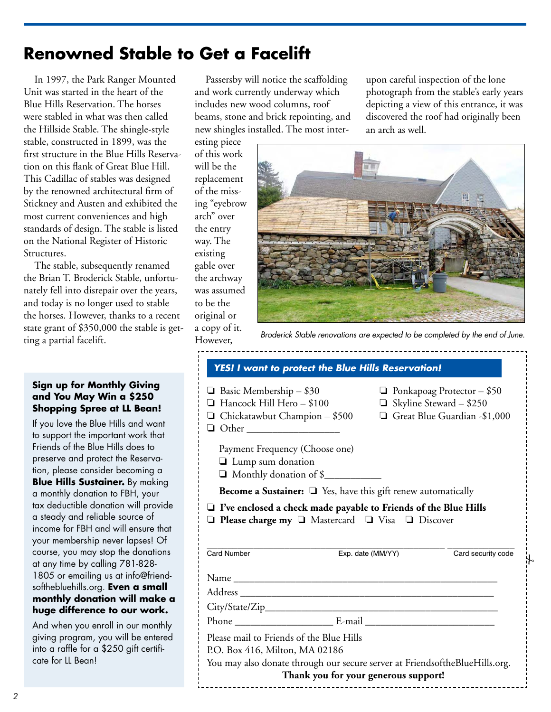# **Renowned Stable to Get a Facelift**

In 1997, the Park Ranger Mounted Unit was started in the heart of the Blue Hills Reservation. The horses were stabled in what was then called the Hillside Stable. The shingle-style stable, constructed in 1899, was the first structure in the Blue Hills Reservation on this flank of Great Blue Hill. This Cadillac of stables was designed by the renowned architectural firm of Stickney and Austen and exhibited the most current conveniences and high standards of design. The stable is listed on the National Register of Historic Structures.

The stable, subsequently renamed the Brian T. Broderick Stable, unfortunately fell into disrepair over the years, and today is no longer used to stable the horses. However, thanks to a recent state grant of \$350,000 the stable is getting a partial facelift.

### **Sign up for Monthly Giving and You May Win a \$250 Shopping Spree at LL Bean!**

If you love the Blue Hills and want to support the important work that Friends of the Blue Hills does to preserve and protect the Reservation, please consider becoming a **Blue Hills Sustainer.** By making a monthly donation to FBH, your tax deductible donation will provide a steady and reliable source of income for FBH and will ensure that your membership never lapses! Of course, you may stop the donations at any time by calling 781-828- 1805 or emailing us at info@friendsofthebluehills.org. **Even a small monthly donation will make a huge difference to our work.**

And when you enroll in our monthly giving program, you will be entered into a raffle for a \$250 gift certificate for LL Bean!

Passersby will notice the scaffolding and work currently underway which includes new wood columns, roof beams, stone and brick repointing, and new shingles installed. The most inter-

esting piece of this work will be the replacement of the missing "eyebrow arch" over the entry way. The existing gable over the archway was assumed to be the original or a copy of it.

However,



an arch as well.

upon careful inspection of the lone photograph from the stable's early years depicting a view of this entrance, it was discovered the roof had originally been

Broderick Stable renovations are expected to be completed by the end of June.

| <b>YES! I want to protect the Blue Hills Reservation!</b>                                                                                                 |                                      |                                                                                                     |
|-----------------------------------------------------------------------------------------------------------------------------------------------------------|--------------------------------------|-----------------------------------------------------------------------------------------------------|
| $\Box$ Basic Membership - \$30<br>Hancock Hill Hero - \$100<br>$\Box$ Chickatawbut Champion - \$500<br>$\Box$ Other                                       |                                      | $\Box$ Ponkapoag Protector - \$50<br>$\Box$ Skyline Steward - \$250<br>Great Blue Guardian -\$1,000 |
| Payment Frequency (Choose one)<br>$\Box$ Lump sum donation<br>Monthly donation of \$                                                                      |                                      |                                                                                                     |
| <b>Become a Sustainer:</b> $\Box$ Yes, have this gift renew automatically                                                                                 |                                      |                                                                                                     |
| $\Box$ I've enclosed a check made payable to Friends of the Blue Hills<br>□ Please charge my □ Mastercard □ Visa □ Discover                               |                                      |                                                                                                     |
| <b>Card Number</b>                                                                                                                                        | Exp. date (MM/YY)                    | Card security code                                                                                  |
|                                                                                                                                                           |                                      |                                                                                                     |
|                                                                                                                                                           |                                      |                                                                                                     |
|                                                                                                                                                           |                                      |                                                                                                     |
|                                                                                                                                                           |                                      |                                                                                                     |
| Please mail to Friends of the Blue Hills<br>P.O. Box 416, Milton, MA 02186<br>You may also donate through our secure server at FriendsoftheBlueHills.org. | Thank you for your generous support! |                                                                                                     |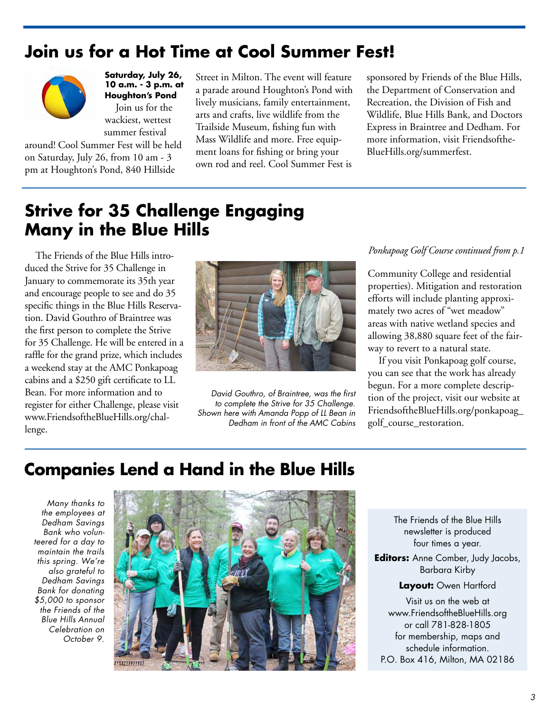## **Join us for a Hot Time at Cool Summer Fest!**



**Saturday, July 26, 10 a.m. - 3 p.m. at Houghton's Pond** Join us for the wackiest, wettest summer festival

around! Cool Summer Fest will be held on Saturday, July 26, from 10 am - 3 pm at Houghton's Pond, 840 Hillside

Street in Milton. The event will feature a parade around Houghton's Pond with lively musicians, family entertainment, arts and crafts, live wildlife from the Trailside Museum, fishing fun with Mass Wildlife and more. Free equipment loans for fishing or bring your own rod and reel. Cool Summer Fest is

sponsored by Friends of the Blue Hills, the Department of Conservation and Recreation, the Division of Fish and Wildlife, Blue Hills Bank, and Doctors Express in Braintree and Dedham. For more information, visit Friendsofthe-BlueHills.org/summerfest.

# **Strive for 35 Challenge Engaging Many in the Blue Hills**

The Friends of the Blue Hills introduced the Strive for 35 Challenge in January to commemorate its 35th year and encourage people to see and do 35 specific things in the Blue Hills Reservation. David Gouthro of Braintree was the first person to complete the Strive for 35 Challenge. He will be entered in a raffle for the grand prize, which includes a weekend stay at the AMC Ponkapoag cabins and a \$250 gift certificate to LL Bean. For more information and to register for either Challenge, please visit www.FriendsoftheBlueHills.org/challenge.



David Gouthro, of Braintree, was the first to complete the Strive for 35 Challenge. Shown here with Amanda Popp of LL Bean in Dedham in front of the AMC Cabins

### *Ponkapoag Golf Course continued from p.1*

Community College and residential properties). Mitigation and restoration efforts will include planting approximately two acres of "wet meadow" areas with native wetland species and allowing 38,880 square feet of the fairway to revert to a natural state.

If you visit Ponkapoag golf course, you can see that the work has already begun. For a more complete description of the project, visit our website at FriendsoftheBlueHills.org/ponkapoag\_ golf\_course\_restoration.

### **Companies Lend a Hand in the Blue Hills**

Many thanks to the employees at Dedham Savings Bank who volunteered for a day to maintain the trails this spring. We're also grateful to Dedham Savings Bank for donating \$5,000 to sponsor the Friends of the Blue Hills Annual Celebration on October 9.



The Friends of the Blue Hills newsletter is produced four times a year.

**Editors:** Anne Comber, Judy Jacobs, Barbara Kirby

**Layout:** Owen Hartford

Visit us on the web at www.FriendsoftheBlueHills.org or call 781-828-1805 for membership, maps and schedule information. P.O. Box 416, Milton, MA 02186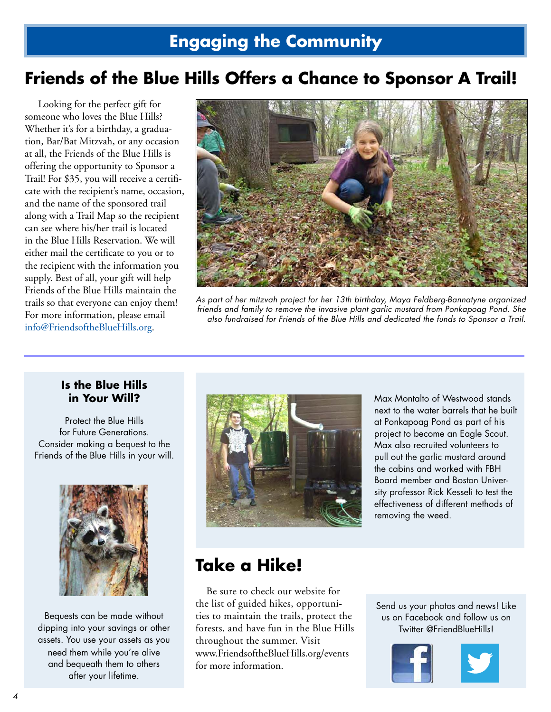## **Friends of the Blue Hills Offers a Chance to Sponsor A Trail!**

 Looking for the perfect gift for someone who loves the Blue Hills? Whether it's for a birthday, a graduation, Bar/Bat Mitzvah, or any occasion at all, the Friends of the Blue Hills is offering the opportunity to Sponsor a Trail! For \$35, you will receive a certificate with the recipient's name, occasion, and the name of the sponsored trail along with a Trail Map so the recipient can see where his/her trail is located in the Blue Hills Reservation. We will either mail the certificate to you or to the recipient with the information you supply. Best of all, your gift will help Friends of the Blue Hills maintain the trails so that everyone can enjoy them! For more information, please email info@FriendsoftheBlueHills.org.



As part of her mitzvah project for her 13th birthday, Maya Feldberg-Bannatyne organized friends and family to remove the invasive plant garlic mustard from Ponkapoag Pond. She also fundraised for Friends of the Blue Hills and dedicated the funds to Sponsor a Trail.

### **Is the Blue Hills in Your Will?**

Protect the Blue Hills for Future Generations. Consider making a bequest to the Friends of the Blue Hills in your will.



Bequests can be made without dipping into your savings or other assets. You use your assets as you need them while you're alive and bequeath them to others after your lifetime.



Max Montalto of Westwood stands next to the water barrels that he built at Ponkapoag Pond as part of his project to become an Eagle Scout. Max also recruited volunteers to pull out the garlic mustard around the cabins and worked with FBH Board member and Boston University professor Rick Kesseli to test the effectiveness of different methods of removing the weed.

### **Take a Hike!**

Be sure to check our website for the list of guided hikes, opportunities to maintain the trails, protect the forests, and have fun in the Blue Hills throughout the summer. Visit www.FriendsoftheBlueHills.org/events for more information.

Send us your photos and news! Like us on Facebook and follow us on Twitter @FriendBlueHills!

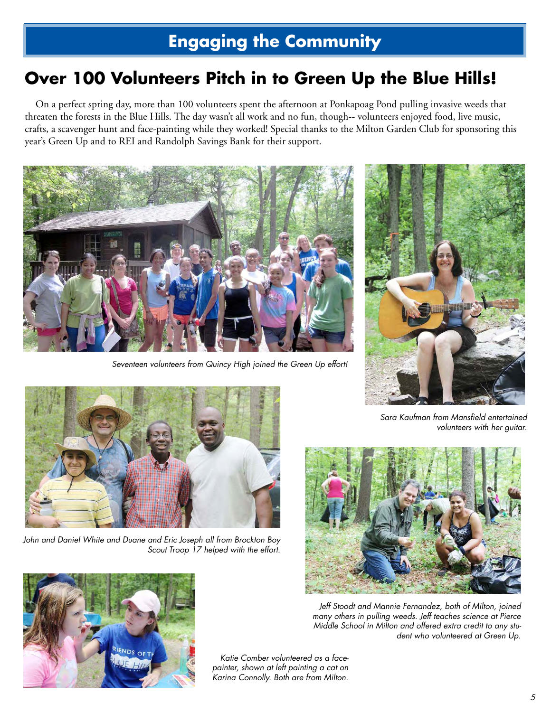# **Engaging the Community**

# **Over 100 Volunteers Pitch in to Green Up the Blue Hills!**

On a perfect spring day, more than 100 volunteers spent the afternoon at Ponkapoag Pond pulling invasive weeds that threaten the forests in the Blue Hills. The day wasn't all work and no fun, though-- volunteers enjoyed food, live music, crafts, a scavenger hunt and face-painting while they worked! Special thanks to the Milton Garden Club for sponsoring this year's Green Up and to REI and Randolph Savings Bank for their support.



Seventeen volunteers from Quincy High joined the Green Up effort!





John and Daniel White and Duane and Eric Joseph all from Brockton Boy Scout Troop 17 helped with the effort.



Sara Kaufman from Mansfield entertained volunteers with her guitar.



Jeff Stoodt and Mannie Fernandez, both of Milton, joined many others in pulling weeds. Jeff teaches science at Pierce Middle School in Milton and offered extra credit to any student who volunteered at Green Up.

Katie Comber volunteered as a facepainter, shown at left painting a cat on Karina Connolly. Both are from Milton.